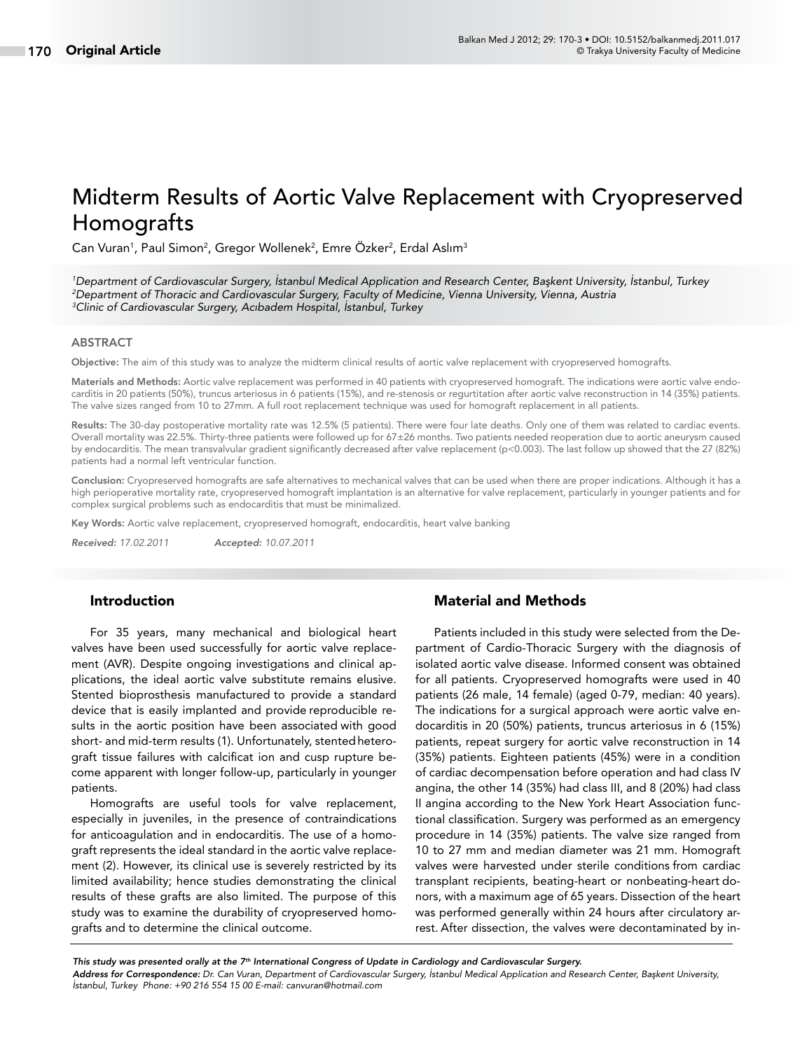# Midterm Results of Aortic Valve Replacement with Cryopreserved Homografts

Can Vuran<sup>1</sup>, Paul Simon<sup>2</sup>, Gregor Wollenek<sup>2</sup>, Emre Özker<sup>2</sup>, Erdal Aslım<sup>3</sup>

*1 Department of Cardiovascular Surgery, İstanbul Medical Application and Research Center, Başkent University, İstanbul, Turkey 2 Department of Thoracic and Cardiovascular Surgery, Faculty of Medicine, Vienna University, Vienna, Austria 3 Clinic of Cardiovascular Surgery, Acıbadem Hospital, İstanbul, Turkey*

### ABSTRACT

Objective: The aim of this study was to analyze the midterm clinical results of aortic valve replacement with cryopreserved homografts.

Materials and Methods: Aortic valve replacement was performed in 40 patients with cryopreserved homograft. The indications were aortic valve endocarditis in 20 patients (50%), truncus arteriosus in 6 patients (15%), and re-stenosis or regurtitation after aortic valve reconstruction in 14 (35%) patients. The valve sizes ranged from 10 to 27mm. A full root replacement technique was used for homograft replacement in all patients.

Results: The 30-day postoperative mortality rate was 12.5% (5 patients). There were four late deaths. Only one of them was related to cardiac events. Overall mortality was 22.5%. Thirty-three patients were followed up for 67±26 months. Two patients needed reoperation due to aortic aneurysm caused by endocarditis. The mean transvalvular gradient significantly decreased after valve replacement (p<0.003). The last follow up showed that the 27 (82%) patients had a normal left ventricular function.

Conclusion: Cryopreserved homografts are safe alternatives to mechanical valves that can be used when there are proper indications. Although it has a high perioperative mortality rate, cryopreserved homograft implantation is an alternative for valve replacement, particularly in younger patients and for complex surgical problems such as endocarditis that must be minimalized.

Key Words: Aortic valve replacement, cryopreserved homograft, endocarditis, heart valve banking

*Received: 17.02.2011 Accepted: 10.07.2011*

# Introduction

For 35 years, many mechanical and biological heart valves have been used successfully for aortic valve replacement (AVR). Despite ongoing investigations and clinical applications, the ideal aortic valve substitute remains elusive. Stented bioprosthesis manufactured to provide a standard device that is easily implanted and provide reproducible results in the aortic position have been associated with good short- and mid-term results (1). Unfortunately, stentedheterograft tissue failures with calcificat ion and cusp rupture become apparent with longer follow-up, particularly in younger patients.

Homografts are useful tools for valve replacement, especially in juveniles, in the presence of contraindications for anticoagulation and in endocarditis. The use of a homograft represents the ideal standard in the aortic valve replacement (2). However, its clinical use is severely restricted by its limited availability; hence studies demonstrating the clinical results of these grafts are also limited. The purpose of this study was to examine the durability of cryopreserved homografts and to determine the clinical outcome.

# Material and Methods

Patients included in this study were selected from the Department of Cardio-Thoracic Surgery with the diagnosis of isolated aortic valve disease. Informed consent was obtained for all patients. Cryopreserved homografts were used in 40 patients (26 male, 14 female) (aged 0-79, median: 40 years). The indications for a surgical approach were aortic valve endocarditis in 20 (50%) patients, truncus arteriosus in 6 (15%) patients, repeat surgery for aortic valve reconstruction in 14 (35%) patients. Eighteen patients (45%) were in a condition of cardiac decompensation before operation and had class IV angina, the other 14 (35%) had class III, and 8 (20%) had class II angina according to the New York Heart Association functional classification. Surgery was performed as an emergency procedure in 14 (35%) patients. The valve size ranged from 10 to 27 mm and median diameter was 21 mm. Homograft valves were harvested under sterile conditions from cardiac transplant recipients, beating-heart or nonbeating-heart donors, with a maximum age of 65 years. Dissection of the heart was performed generally within 24 hours after circulatory arrest. After dissection, the valves were decontaminated by in-

*Address for Correspondence: Dr. Can Vuran, Department of Cardiovascular Surgery, İstanbul Medical Application and Research Center, Başkent University, İstanbul, Turkey Phone: +90 216 554 15 00 E-mail: canvuran@hotmail.com This study was presented orally at the 7th International Congress of Update in Cardiology and Cardiovascular Surgery.*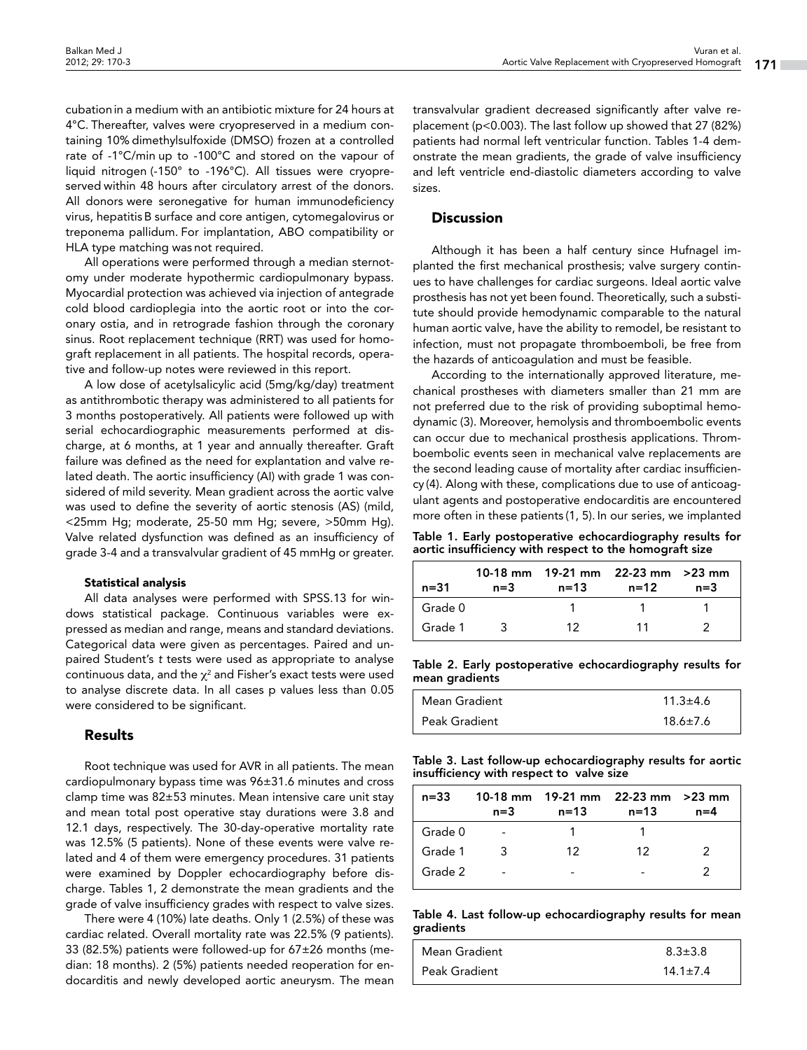cubationin a medium with an antibiotic mixture for 24 hours at 4°C. Thereafter, valves were cryopreserved in a medium containing 10% dimethylsulfoxide (DMSO) frozen at a controlled rate of -1°C/min up to -100°C and stored on the vapour of liquid nitrogen (-150° to -196°C). All tissues were cryopreserved within 48 hours after circulatory arrest of the donors. All donors were seronegative for human immunodeficiency virus, hepatitisB surface and core antigen, cytomegalovirus or treponema pallidum. For implantation, ABO compatibility or HLA type matching was not required.

All operations were performed through a median sternotomy under moderate hypothermic cardiopulmonary bypass. Myocardial protection was achieved via injection of antegrade cold blood cardioplegia into the aortic root or into the coronary ostia, and in retrograde fashion through the coronary sinus. Root replacement technique (RRT) was used for homograft replacement in all patients. The hospital records, operative and follow-up notes were reviewed in this report.

A low dose of acetylsalicylic acid (5mg/kg/day) treatment as antithrombotic therapy was administered to all patients for 3 months postoperatively. All patients were followed up with serial echocardiographic measurements performed at discharge, at 6 months, at 1 year and annually thereafter. Graft failure was defined as the need for explantation and valve related death. The aortic insufficiency (AI) with grade 1 was considered of mild severity. Mean gradient across the aortic valve was used to define the severity of aortic stenosis (AS) (mild, <25mm Hg; moderate, 25-50 mm Hg; severe, >50mm Hg). Valve related dysfunction was defined as an insufficiency of grade 3-4 and a transvalvular gradient of 45 mmHg or greater.

#### Statistical analysis

All data analyses were performed with SPSS.13 for windows statistical package. Continuous variables were expressed as median and range, means and standard deviations. Categorical data were given as percentages. Paired and unpaired Student's *t* tests were used as appropriate to analyse continuous data, and the  $\chi^2$  and Fisher's exact tests were used to analyse discrete data. In all cases p values less than 0.05 were considered to be significant.

#### Results

Root technique was used for AVR in all patients. The mean cardiopulmonary bypass time was 96±31.6 minutes and cross clamp time was 82±53 minutes. Mean intensive care unit stay and mean total post operative stay durations were 3.8 and 12.1 days, respectively. The 30-day-operative mortality rate was 12.5% (5 patients). None of these events were valve related and 4 of them were emergency procedures. 31 patients were examined by Doppler echocardiography before discharge. Tables 1, 2 demonstrate the mean gradients and the grade of valve insufficiency grades with respect to valve sizes.

There were 4 (10%) late deaths. Only 1 (2.5%) of these was cardiac related. Overall mortality rate was 22.5% (9 patients). 33 (82.5%) patients were followed-up for 67±26 months (median: 18 months). 2 (5%) patients needed reoperation for endocarditis and newly developed aortic aneurysm. The mean

transvalvular gradient decreased significantly after valve replacement (p<0.003). The last follow up showed that 27 (82%) patients had normal left ventricular function. Tables 1-4 demonstrate the mean gradients, the grade of valve insufficiency and left ventricle end-diastolic diameters according to valve sizes.

# **Discussion**

Although it has been a half century since Hufnagel implanted the first mechanical prosthesis; valve surgery continues to have challenges for cardiac surgeons. Ideal aortic valve prosthesis has not yet been found. Theoretically, such a substitute should provide hemodynamic comparable to the natural human aortic valve, have the ability to remodel, be resistant to infection, must not propagate thromboemboli, be free from the hazards of anticoagulation and must be feasible.

According to the internationally approved literature, mechanical prostheses with diameters smaller than 21 mm are not preferred due to the risk of providing suboptimal hemodynamic (3). Moreover, hemolysis and thromboembolic events can occur due to mechanical prosthesis applications. Thromboembolic events seen in mechanical valve replacements are the second leading cause of mortality after cardiac insufficiency (4). Along with these, complications due to use of anticoagulant agents and postoperative endocarditis are encountered more often in these patients (1, 5). In our series, we implanted

Table 1. Early postoperative echocardiography results for aortic insufficiency with respect to the homograft size

| n=31    | n=3 | 10-18 mm $-19-21$ mm $-22-23$ mm $-23$ mm<br>n=13 | n=12 | $n=3$ |
|---------|-----|---------------------------------------------------|------|-------|
| Grade 0 |     |                                                   |      |       |
| Grade 1 |     | 12.                                               | 11   |       |

Table 2. Early postoperative echocardiography results for mean gradients

| Mean Gradient | $11.3 \pm 4.6$ |
|---------------|----------------|
| Peak Gradient | $18.6 \pm 7.6$ |

Table 3. Last follow-up echocardiography results for aortic insufficiency with respect to valve size

| $n = 33$ | $n = 3$ | 10-18 mm $19-21$ mm $22-23$ mm $>23$ mm<br>n=13 | $n = 13$ | $n=4$ |
|----------|---------|-------------------------------------------------|----------|-------|
| Grade 0  |         |                                                 |          |       |
| Grade 1  | ર       | 12                                              | 12       | 2     |
| Grade 2  |         |                                                 |          |       |

Table 4. Last follow-up echocardiography results for mean gradients

| Mean Gradient   | $8.3 \pm 3.8$  |
|-----------------|----------------|
| l Peak Gradient | $14.1 \pm 7.4$ |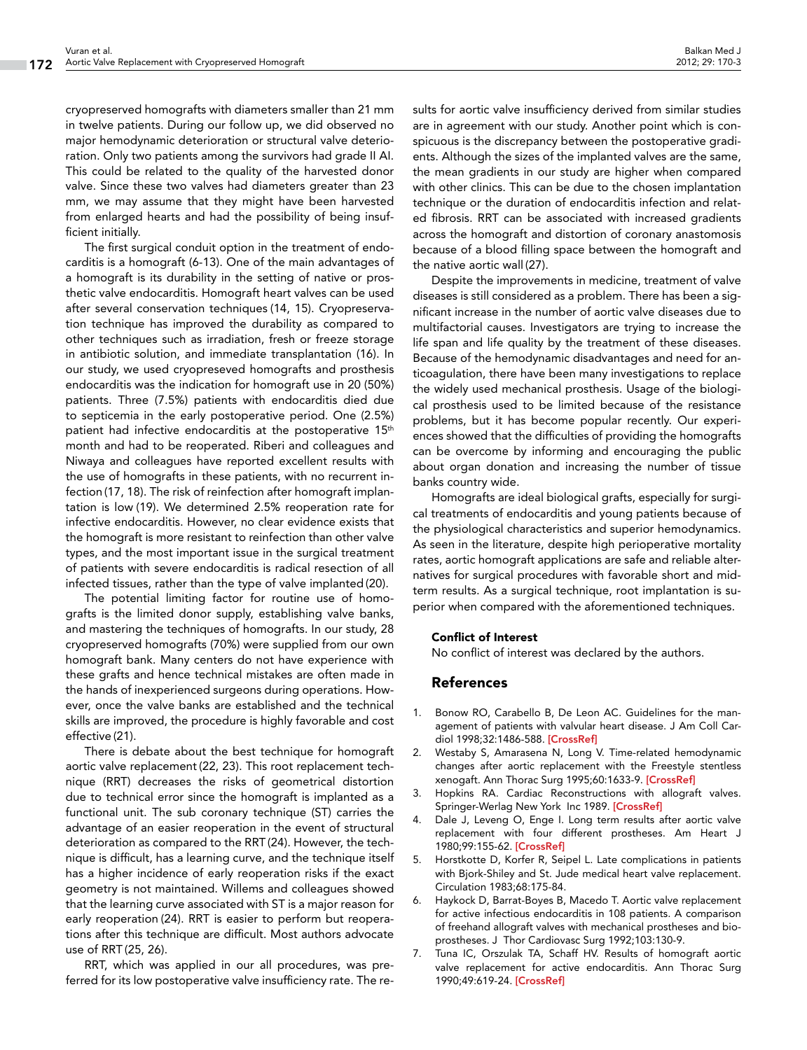cryopreserved homografts with diameters smaller than 21 mm in twelve patients. During our follow up, we did observed no major hemodynamic deterioration or structural valve deterioration. Only two patients among the survivors had grade II AI. This could be related to the quality of the harvested donor valve. Since these two valves had diameters greater than 23 mm, we may assume that they might have been harvested from enlarged hearts and had the possibility of being insufficient initially.

The first surgical conduit option in the treatment of endocarditis is a homograft (6-13). One of the main advantages of a homograft is its durability in the setting of native or prosthetic valve endocarditis. Homograft heart valves can be used after several conservation techniques (14, 15). Cryopreservation technique has improved the durability as compared to other techniques such as irradiation, fresh or freeze storage in antibiotic solution, and immediate transplantation (16). In our study, we used cryopreseved homografts and prosthesis endocarditis was the indication for homograft use in 20 (50%) patients. Three (7.5%) patients with endocarditis died due to septicemia in the early postoperative period. One (2.5%) patient had infective endocarditis at the postoperative 15<sup>th</sup> month and had to be reoperated. Riberi and colleagues and Niwaya and colleagues have reported excellent results with the use of homografts in these patients, with no recurrent infection(17, 18). The risk of reinfection after homograft implantation is low (19). We determined 2.5% reoperation rate for infective endocarditis. However, no clear evidence exists that the homograft is more resistant to reinfection than other valve types, and the most important issue in the surgical treatment of patients with severe endocarditis is radical resection of all infected tissues, rather than the type of valve implanted (20).

The potential limiting factor for routine use of homografts is the limited donor supply, establishing valve banks, and mastering the techniques of homografts. In our study, 28 cryopreserved homografts (70%) were supplied from our own homograft bank. Many centers do not have experience with these grafts and hence technical mistakes are often made in the hands of inexperienced surgeons during operations. However, once the valve banks are established and the technical skills are improved, the procedure is highly favorable and cost effective (21).

There is debate about the best technique for homograft aortic valve replacement(22, 23). This root replacement technique (RRT) decreases the risks of geometrical distortion due to technical error since the homograft is implanted as a functional unit. The sub coronary technique (ST) carries the advantage of an easier reoperation in the event of structural deterioration as compared to the RRT (24). However, the technique is difficult, has a learning curve, and the technique itself has a higher incidence of early reoperation risks if the exact geometry is not maintained. Willems and colleagues showed that the learning curve associated with ST is a major reason for early reoperation (24). RRT is easier to perform but reoperations after this technique are difficult. Most authors advocate use of RRT (25, 26).

RRT, which was applied in our all procedures, was preferred for its low postoperative valve insufficiency rate. The re-

sults for aortic valve insufficiency derived from similar studies are in agreement with our study. Another point which is conspicuous is the discrepancy between the postoperative gradients. Although the sizes of the implanted valves are the same, the mean gradients in our study are higher when compared with other clinics. This can be due to the chosen implantation technique or the duration of endocarditis infection and related fibrosis. RRT can be associated with increased gradients across the homograft and distortion of coronary anastomosis because of a blood filling space between the homograft and the native aortic wall (27).

Despite the improvements in medicine, treatment of valve diseases is still considered as a problem. There has been a significant increase in the number of aortic valve diseases due to multifactorial causes. Investigators are trying to increase the life span and life quality by the treatment of these diseases. Because of the hemodynamic disadvantages and need for anticoagulation, there have been many investigations to replace the widely used mechanical prosthesis. Usage of the biological prosthesis used to be limited because of the resistance problems, but it has become popular recently. Our experiences showed that the difficulties of providing the homografts can be overcome by informing and encouraging the public about organ donation and increasing the number of tissue banks country wide.

Homografts are ideal biological grafts, especially for surgical treatments of endocarditis and young patients because of the physiological characteristics and superior hemodynamics. As seen in the literature, despite high perioperative mortality rates, aortic homograft applications are safe and reliable alternatives for surgical procedures with favorable short and midterm results. As a surgical technique, root implantation is superior when compared with the aforementioned techniques.

#### Conflict of Interest

No conflict of interest was declared by the authors.

# References

- 1. Bonow RO, Carabello B, De Leon AC. Guidelines for the management of patients with valvular heart disease. J Am Coll Cardiol 1998;32:1486-588. [\[CrossRef\]](http://dx.doi.org/10.1016/S0735-1097(98)00454-9)
- 2. Westaby S, Amarasena N, Long V. Time-related hemodynamic changes after aortic replacement with the Freestyle stentless xenogaft. Ann Thorac Surg 1995;60:1633-9. [\[CrossRef\]](http://dx.doi.org/10.1016/0003-4975(95)00639-7)
- 3. Hopkins RA. Cardiac Reconstructions with allograft valves. Springer-Werlag New York Inc 1989. [\[CrossRef\]](http://dx.doi.org/10.1007/978-1-4612-3568-2)
- 4. Dale J, Leveng O, Enge I. Long term results after aortic valve replacement with four different prostheses. Am Heart J 1980;99:155-62. [\[CrossRef\]](http://dx.doi.org/10.1016/0002-8703(80)90760-7)
- 5. Horstkotte D, Korfer R, Seipel L. Late complications in patients with Bjork-Shiley and St. Jude medical heart valve replacement. Circulation 1983;68:175-84.
- 6. Haykock D, Barrat-Boyes B, Macedo T. Aortic valve replacement for active infectious endocarditis in 108 patients. A comparison of freehand allograft valves with mechanical prostheses and bioprostheses. J Thor Cardiovasc Surg 1992;103:130-9.
- 7. Tuna IC, Orszulak TA, Schaff HV. Results of homograft aortic valve replacement for active endocarditis. Ann Thorac Surg 1990;49:619-24. [\[CrossRef\]](http://dx.doi.org/10.1016/0003-4975(90)90311-S)